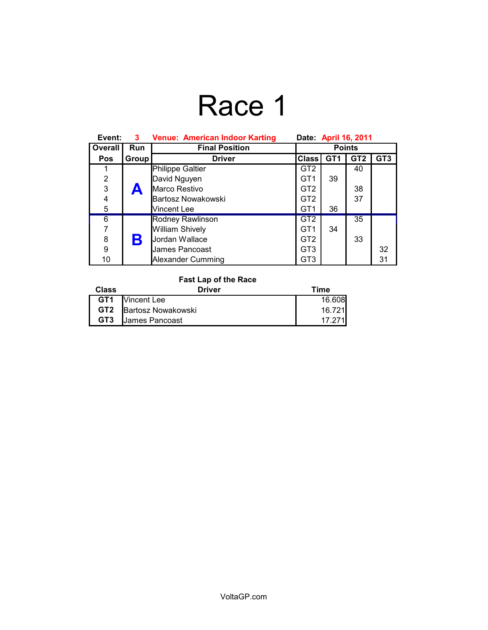# Race 1

| Event:         | $\mathbf{3}$ | <b>Venue: American Indoor Karting</b> | Date: April 16, 2011 |                 |                 |                 |
|----------------|--------------|---------------------------------------|----------------------|-----------------|-----------------|-----------------|
| Overall        | Run          | <b>Final Position</b>                 | <b>Points</b>        |                 |                 |                 |
| <b>Pos</b>     | Group        | <b>Driver</b>                         | <b>Class</b>         | GT <sub>1</sub> | GT <sub>2</sub> | GT <sub>3</sub> |
|                |              | Philippe Galtier                      | GT <sub>2</sub>      |                 | 40              |                 |
| $\overline{2}$ |              | David Nguyen                          | GT <sub>1</sub>      | 39              |                 |                 |
| 3              |              | Marco Restivo                         | GT <sub>2</sub>      |                 | 38              |                 |
| 4              |              | Bartosz Nowakowski                    | GT <sub>2</sub>      |                 | 37              |                 |
| 5              |              | Vincent Lee                           | GT <sub>1</sub>      | 36              |                 |                 |
| $\overline{6}$ |              | <b>Rodney Rawlinson</b>               | GT <sub>2</sub>      |                 | 35              |                 |
| 7              |              | William Shively                       | GT <sub>1</sub>      | 34              |                 |                 |
| 8              | Β            | Jordan Wallace                        | GT <sub>2</sub>      |                 | 33              |                 |
| 9              |              | James Pancoast                        | GT <sub>3</sub>      |                 |                 | 32              |
| 10             |              | Alexander Cumming                     | GT <sub>3</sub>      |                 |                 | 31              |

#### **Fast Lap of the Race**

| <b>Class</b> | <b>Driver</b>            | Time   |
|--------------|--------------------------|--------|
|              | <b>GT1</b>   Vincent Lee | 16.608 |
|              | GT2 Bartosz Nowakowski   | 16.721 |
| GT3          | James Pancoast           | 17.271 |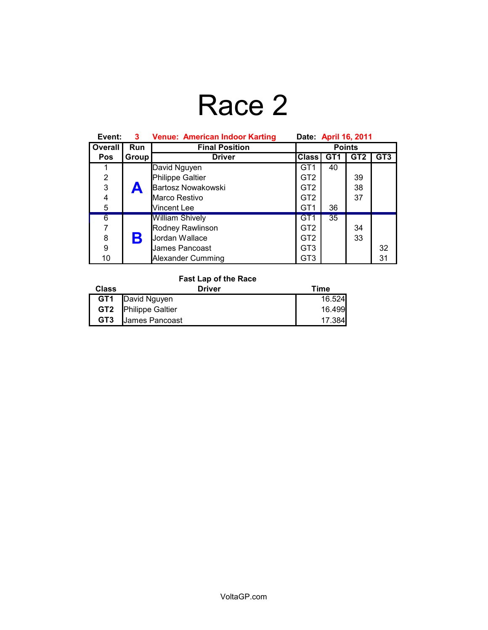## Race 2

| Event:         | 3.    | <b>Venue: American Indoor Karting</b><br>Date: April 16, 2011 |                 |                 |                 |                 |
|----------------|-------|---------------------------------------------------------------|-----------------|-----------------|-----------------|-----------------|
| Overall        | Run   | <b>Final Position</b>                                         | <b>Points</b>   |                 |                 |                 |
| <b>Pos</b>     | Group | <b>Driver</b>                                                 | <b>Class</b>    | GT <sub>1</sub> | GT <sub>2</sub> | GT <sub>3</sub> |
|                |       | David Nguyen                                                  | GT <sub>1</sub> | 40              |                 |                 |
| $\overline{2}$ |       | Philippe Galtier                                              | GT <sub>2</sub> |                 | 39              |                 |
| 3              |       | <b>Bartosz Nowakowski</b>                                     | GT <sub>2</sub> |                 | 38              |                 |
| 4              |       | Marco Restivo                                                 | GT <sub>2</sub> |                 | 37              |                 |
| 5              |       | Vincent Lee                                                   | GT <sub>1</sub> | 36              |                 |                 |
| $\overline{6}$ |       | <b>William Shively</b>                                        | GT <sub>1</sub> | 35              |                 |                 |
| 7              | В     | Rodney Rawlinson                                              | GT <sub>2</sub> |                 | 34              |                 |
| 8              |       | Jordan Wallace                                                | GT <sub>2</sub> |                 | 33              |                 |
| 9              |       | James Pancoast                                                | GT <sub>3</sub> |                 |                 | 32              |
| 10             |       | Alexander Cumming                                             | GT3             |                 |                 | 31              |

#### **Fast Lap of the Race**

| <b>Class</b>    | <b>Driver</b>               | Time   |
|-----------------|-----------------------------|--------|
|                 | <b>GT1</b> David Nguyen     | 16.524 |
|                 | <b>GT2</b> Philippe Galtier | 16.499 |
| GT <sub>3</sub> | James Pancoast              |        |